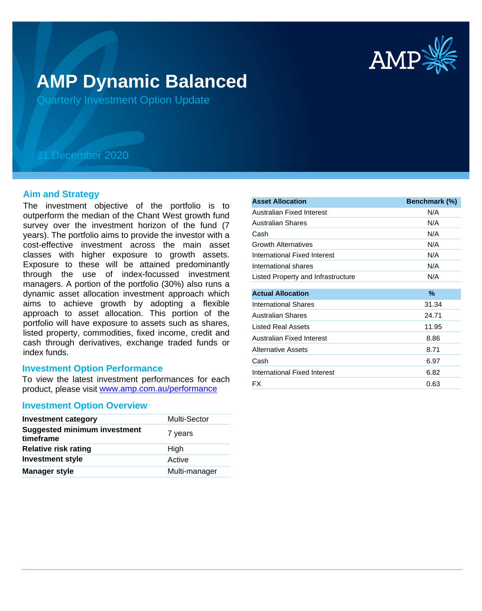

# **AMP Dynamic Balanced**

Quarterly Investment Option Update

## 31 December 2020

## **Aim and Strategy**

The investment objective of the portfolio is to outperform the median of the Chant West growth fund survey over the investment horizon of the fund (7 years). The portfolio aims to provide the investor with a cost-effective investment across the main asset classes with higher exposure to growth assets. Exposure to these will be attained predominantly through the use of index-focussed investment managers. A portion of the portfolio (30%) also runs a dynamic asset allocation investment approach which aims to achieve growth by adopting a flexible approach to asset allocation. This portion of the portfolio will have exposure to assets such as shares, listed property, commodities, fixed income, credit and cash through derivatives, exchange traded funds or index funds.

## **Investment Option Performance**

product, please visit www.amp.com.au/performance To view the latest investment performances for each

## **Investment Option Overview**

| <b>Investment category</b>                       | <b>Multi-Sector</b> |
|--------------------------------------------------|---------------------|
| <b>Suggested minimum investment</b><br>timeframe | 7 years             |
| <b>Relative risk rating</b>                      | High                |
| <b>Investment style</b>                          | Active              |
| <b>Manager style</b>                             | Multi-manager       |

| <b>Asset Allocation</b>            | Benchmark (%) |
|------------------------------------|---------------|
| Australian Fixed Interest          | N/A           |
| Australian Shares                  | N/A           |
| Cash                               | N/A           |
| <b>Growth Alternatives</b>         | N/A           |
| International Fixed Interest       | N/A           |
| International shares               | N/A           |
| Listed Property and Infrastructure | N/A           |
| <b>Actual Allocation</b>           | ℅             |
| International Shares               | 31.34         |
| <b>Australian Shares</b>           | 24.71         |
| Listed Real Assets                 | 11.95         |
| Australian Fixed Interest          | 8.86          |
| Alternative Assets                 | 8.71          |
| Cash                               | 6.97          |
| International Fixed Interest       | 6.82          |
| <b>FX</b>                          | 0.63          |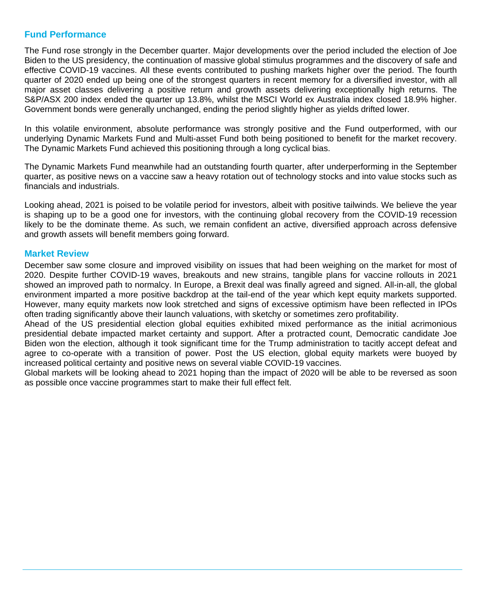## **Fund Performance**

The Fund rose strongly in the December quarter. Major developments over the period included the election of Joe Biden to the US presidency, the continuation of massive global stimulus programmes and the discovery of safe and effective COVID-19 vaccines. All these events contributed to pushing markets higher over the period. The fourth quarter of 2020 ended up being one of the strongest quarters in recent memory for a diversified investor, with all major asset classes delivering a positive return and growth assets delivering exceptionally high returns. The S&P/ASX 200 index ended the quarter up 13.8%, whilst the MSCI World ex Australia index closed 18.9% higher. Government bonds were generally unchanged, ending the period slightly higher as yields drifted lower.

In this volatile environment, absolute performance was strongly positive and the Fund outperformed, with our underlying Dynamic Markets Fund and Multi-asset Fund both being positioned to benefit for the market recovery. The Dynamic Markets Fund achieved this positioning through a long cyclical bias.

The Dynamic Markets Fund meanwhile had an outstanding fourth quarter, after underperforming in the September quarter, as positive news on a vaccine saw a heavy rotation out of technology stocks and into value stocks such as financials and industrials.

Looking ahead, 2021 is poised to be volatile period for investors, albeit with positive tailwinds. We believe the year is shaping up to be a good one for investors, with the continuing global recovery from the COVID-19 recession likely to be the dominate theme. As such, we remain confident an active, diversified approach across defensive and growth assets will benefit members going forward.

## **Market Review**

December saw some closure and improved visibility on issues that had been weighing on the market for most of 2020. Despite further COVID-19 waves, breakouts and new strains, tangible plans for vaccine rollouts in 2021 showed an improved path to normalcy. In Europe, a Brexit deal was finally agreed and signed. All-in-all, the global environment imparted a more positive backdrop at the tail-end of the year which kept equity markets supported. However, many equity markets now look stretched and signs of excessive optimism have been reflected in IPOs often trading significantly above their launch valuations, with sketchy or sometimes zero profitability.

Ahead of the US presidential election global equities exhibited mixed performance as the initial acrimonious presidential debate impacted market certainty and support. After a protracted count, Democratic candidate Joe Biden won the election, although it took significant time for the Trump administration to tacitly accept defeat and agree to co-operate with a transition of power. Post the US election, global equity markets were buoyed by increased political certainty and positive news on several viable COVID-19 vaccines.

Global markets will be looking ahead to 2021 hoping than the impact of 2020 will be able to be reversed as soon as possible once vaccine programmes start to make their full effect felt.